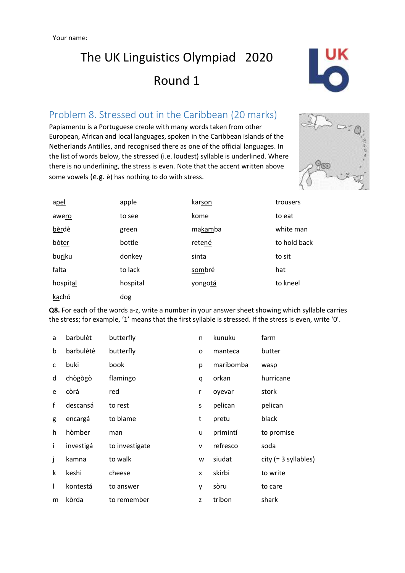## The UK Linguistics Olympiad 2020 Round 1



### Problem 8. Stressed out in the Caribbean (20 marks)

Papiamentu is a Portuguese creole with many words taken from other European, African and local languages, spoken in the Caribbean islands of the Netherlands Antilles, and recognised there as one of the official languages. In the list of words below, the stressed (i.e. loudest) syllable is underlined. Where there is no underlining, the stress is even. Note that the accent written above some vowels (e.g. è) has nothing to do with stress.



| apel     | apple    | karson  | trousers     |
|----------|----------|---------|--------------|
| awero    | to see   | kome    | to eat       |
| bèrdè    | green    | makamba | white man    |
| bòter    | bottle   | retené  | to hold back |
| buriku   | donkey   | sinta   | to sit       |
| falta    | to lack  | sombré  | hat          |
| hospital | hospital | yongotá | to kneel     |
| kachó    | dog      |         |              |

**Q8.** For each of the words a-z, write a number in your answer sheet showing which syllable carries the stress; for example, '1' means that the first syllable is stressed. If the stress is even, write '0'.

| a | barbulèt  | butterfly      | n | kunuku    | farm                   |
|---|-----------|----------------|---|-----------|------------------------|
| b | barbulètè | butterfly      | o | manteca   | butter                 |
| c | buki      | book           | р | maribomba | wasp                   |
| d | chògògò   | flamingo       | q | orkan     | hurricane              |
| e | còrá      | red            | r | oyevar    | stork                  |
| f | descansá  | to rest        | s | pelican   | pelican                |
| g | encargá   | to blame       | t | pretu     | black                  |
| h | hòmber    | man            | u | primintí  | to promise             |
| Ť | investigá | to investigate | v | refresco  | soda                   |
| j | kamna     | to walk        | w | siudat    | $city (= 3 syllables)$ |
| k | keshi     | cheese         | x | skirbi    | to write               |
| T | kontestá  | to answer      | у | sòru      | to care                |
| m | kòrda     | to remember    | z | tribon    | shark                  |